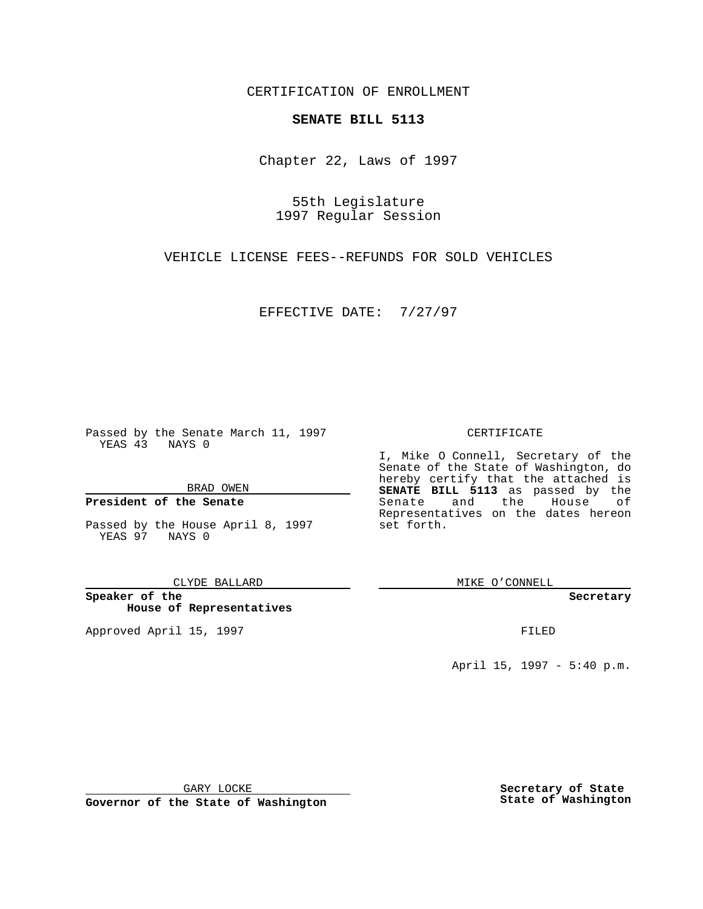CERTIFICATION OF ENROLLMENT

## **SENATE BILL 5113**

Chapter 22, Laws of 1997

55th Legislature 1997 Regular Session

VEHICLE LICENSE FEES--REFUNDS FOR SOLD VEHICLES

EFFECTIVE DATE: 7/27/97

Passed by the Senate March 11, 1997 YEAS 43 NAYS 0

BRAD OWEN

## **President of the Senate**

Passed by the House April 8, 1997 YEAS 97 NAYS 0

CLYDE BALLARD

**Speaker of the House of Representatives**

Approved April 15, 1997 **FILED** 

## CERTIFICATE

I, Mike O Connell, Secretary of the Senate of the State of Washington, do hereby certify that the attached is **SENATE BILL 5113** as passed by the Senate and the House of Representatives on the dates hereon set forth.

MIKE O'CONNELL

**Secretary**

April 15, 1997 - 5:40 p.m.

GARY LOCKE

**Governor of the State of Washington**

**Secretary of State State of Washington**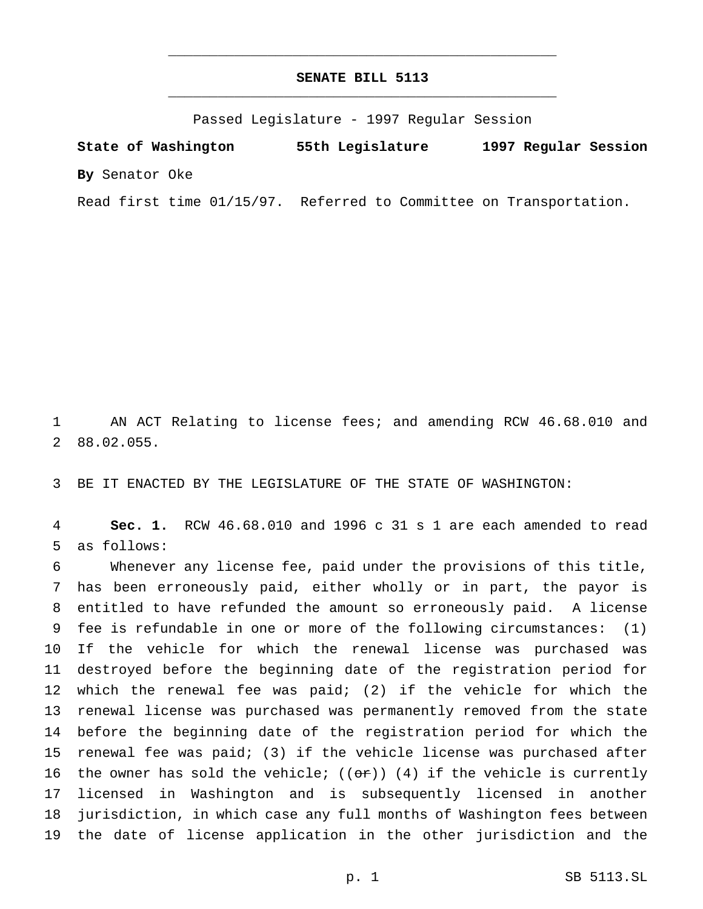## **SENATE BILL 5113** \_\_\_\_\_\_\_\_\_\_\_\_\_\_\_\_\_\_\_\_\_\_\_\_\_\_\_\_\_\_\_\_\_\_\_\_\_\_\_\_\_\_\_\_\_\_\_

\_\_\_\_\_\_\_\_\_\_\_\_\_\_\_\_\_\_\_\_\_\_\_\_\_\_\_\_\_\_\_\_\_\_\_\_\_\_\_\_\_\_\_\_\_\_\_

Passed Legislature - 1997 Regular Session

**State of Washington 55th Legislature 1997 Regular Session By** Senator Oke

Read first time 01/15/97. Referred to Committee on Transportation.

 AN ACT Relating to license fees; and amending RCW 46.68.010 and 88.02.055.

BE IT ENACTED BY THE LEGISLATURE OF THE STATE OF WASHINGTON:

 **Sec. 1.** RCW 46.68.010 and 1996 c 31 s 1 are each amended to read as follows:

 Whenever any license fee, paid under the provisions of this title, has been erroneously paid, either wholly or in part, the payor is entitled to have refunded the amount so erroneously paid. A license fee is refundable in one or more of the following circumstances: (1) If the vehicle for which the renewal license was purchased was destroyed before the beginning date of the registration period for which the renewal fee was paid; (2) if the vehicle for which the renewal license was purchased was permanently removed from the state before the beginning date of the registration period for which the renewal fee was paid; (3) if the vehicle license was purchased after 16 the owner has sold the vehicle;  $((or))$  (4) if the vehicle is currently licensed in Washington and is subsequently licensed in another jurisdiction, in which case any full months of Washington fees between the date of license application in the other jurisdiction and the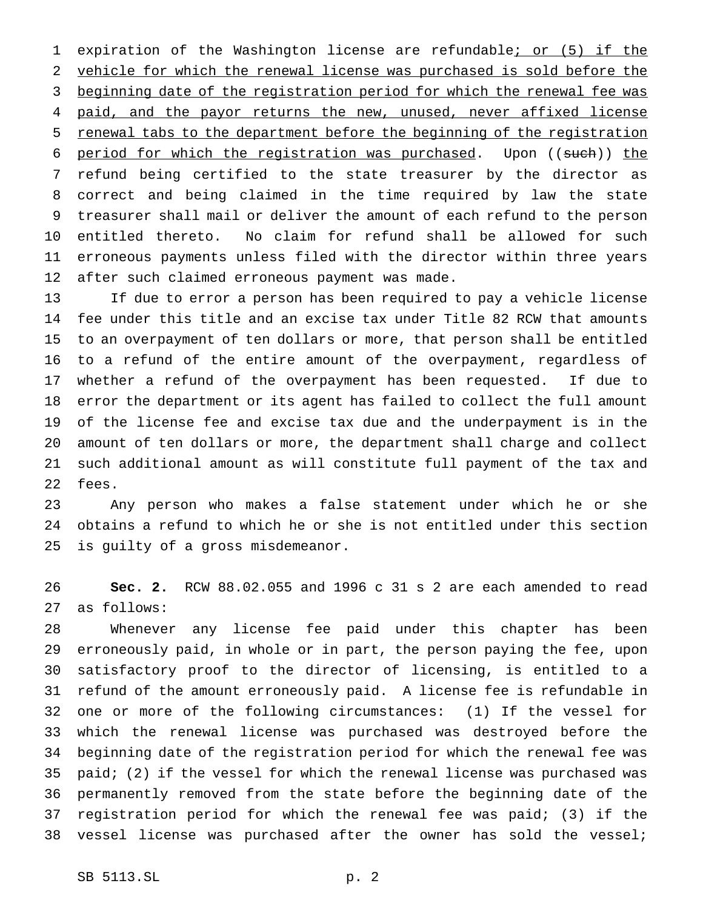1 expiration of the Washington license are refundable; or (5) if the vehicle for which the renewal license was purchased is sold before the 3 beginning date of the registration period for which the renewal fee was 4 paid, and the payor returns the new, unused, never affixed license renewal tabs to the department before the beginning of the registration 6 period for which the registration was purchased. Upon ((such)) the refund being certified to the state treasurer by the director as correct and being claimed in the time required by law the state treasurer shall mail or deliver the amount of each refund to the person entitled thereto. No claim for refund shall be allowed for such erroneous payments unless filed with the director within three years after such claimed erroneous payment was made.

 If due to error a person has been required to pay a vehicle license fee under this title and an excise tax under Title 82 RCW that amounts to an overpayment of ten dollars or more, that person shall be entitled to a refund of the entire amount of the overpayment, regardless of whether a refund of the overpayment has been requested. If due to error the department or its agent has failed to collect the full amount of the license fee and excise tax due and the underpayment is in the amount of ten dollars or more, the department shall charge and collect such additional amount as will constitute full payment of the tax and fees.

 Any person who makes a false statement under which he or she obtains a refund to which he or she is not entitled under this section is guilty of a gross misdemeanor.

 **Sec. 2.** RCW 88.02.055 and 1996 c 31 s 2 are each amended to read as follows:

 Whenever any license fee paid under this chapter has been erroneously paid, in whole or in part, the person paying the fee, upon satisfactory proof to the director of licensing, is entitled to a refund of the amount erroneously paid. A license fee is refundable in one or more of the following circumstances: (1) If the vessel for which the renewal license was purchased was destroyed before the beginning date of the registration period for which the renewal fee was paid; (2) if the vessel for which the renewal license was purchased was permanently removed from the state before the beginning date of the registration period for which the renewal fee was paid; (3) if the vessel license was purchased after the owner has sold the vessel;